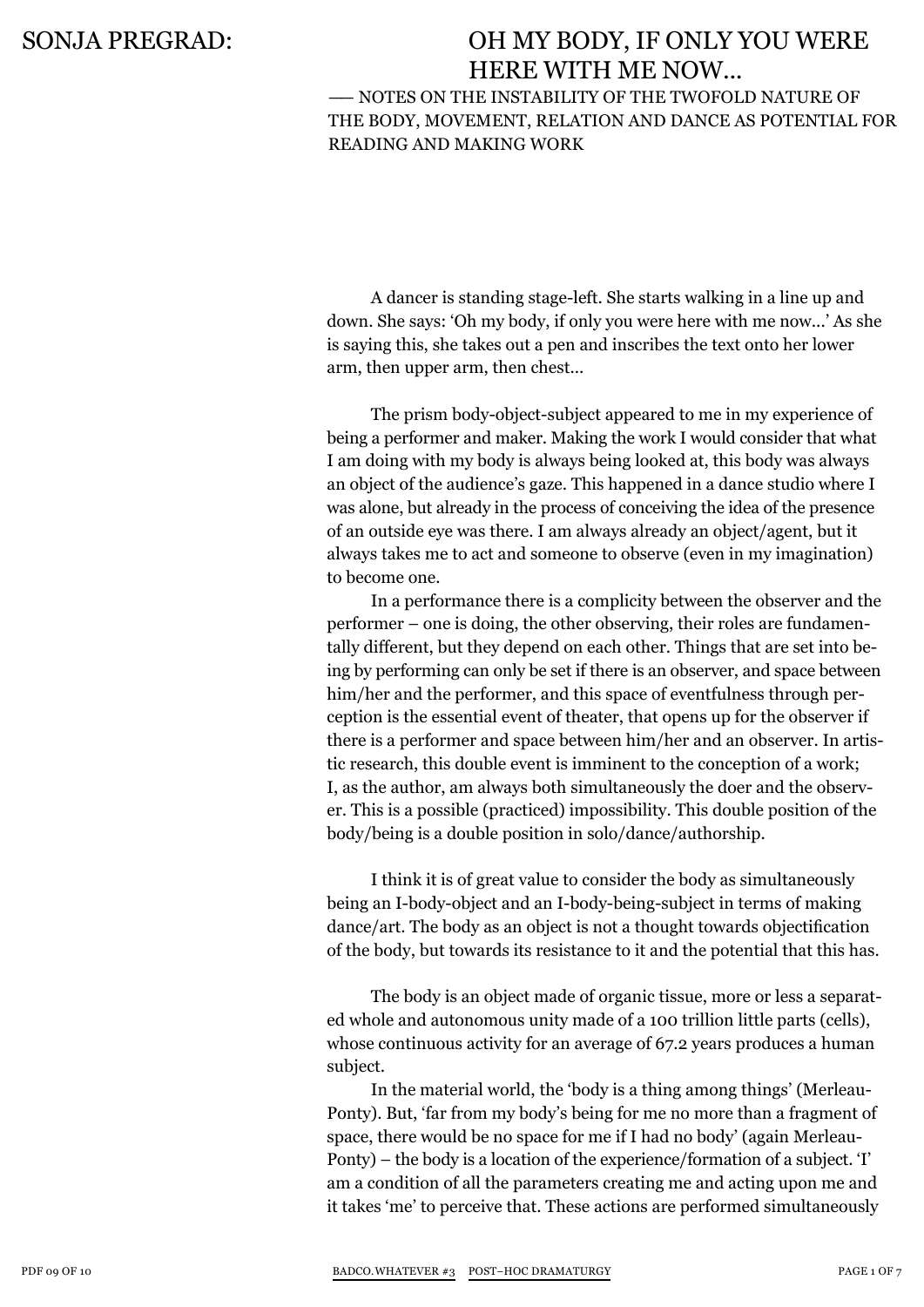### —— Notes on the instability of the twofold nature of the body, movement, relation and dance as potential for reading and making work

A dancer is standing stage-left. She starts walking in a line up and down. She says: 'Oh my body, if only you were here with me now...' As she is saying this, she takes out a pen and inscribes the text onto her lower arm, then upper arm, then chest...

The prism body-object-subject appeared to me in my experience of being a performer and maker. Making the work I would consider that what I am doing with my body is always being looked at, this body was always an object of the audience's gaze. This happened in a dance studio where I was alone, but already in the process of conceiving the idea of the presence of an outside eye was there. I am always already an object/agent, but it always takes me to act and someone to observe (even in my imagination) to become one.

In a performance there is a complicity between the observer and the performer – one is doing, the other observing, their roles are fundamentally different, but they depend on each other. Things that are set into being by performing can only be set if there is an observer, and space between him/her and the performer, and this space of eventfulness through perception is the essential event of theater, that opens up for the observer if there is a performer and space between him/her and an observer. In artistic research, this double event is imminent to the conception of a work; I, as the author, am always both simultaneously the doer and the observer. This is a possible (practiced) impossibility. This double position of the body/being is a double position in solo/dance/authorship.

I think it is of great value to consider the body as simultaneously being an I-body-object and an I-body-being-subject in terms of making dance/art. The body as an object is not a thought towards objectification of the body, but towards its resistance to it and the potential that this has.

The body is an object made of organic tissue, more or less a separated whole and autonomous unity made of a 100 trillion little parts (cells), whose continuous activity for an average of 67.2 years produces a human subject.

In the material world, the 'body is a thing among things' (Merleau-Ponty). But, 'far from my body's being for me no more than a fragment of space, there would be no space for me if I had no body' (again Merleau-Ponty) – the body is a location of the experience/formation of a subject. 'I' am a condition of all the parameters creating me and acting upon me and it takes 'me' to perceive that. These actions are performed simultaneously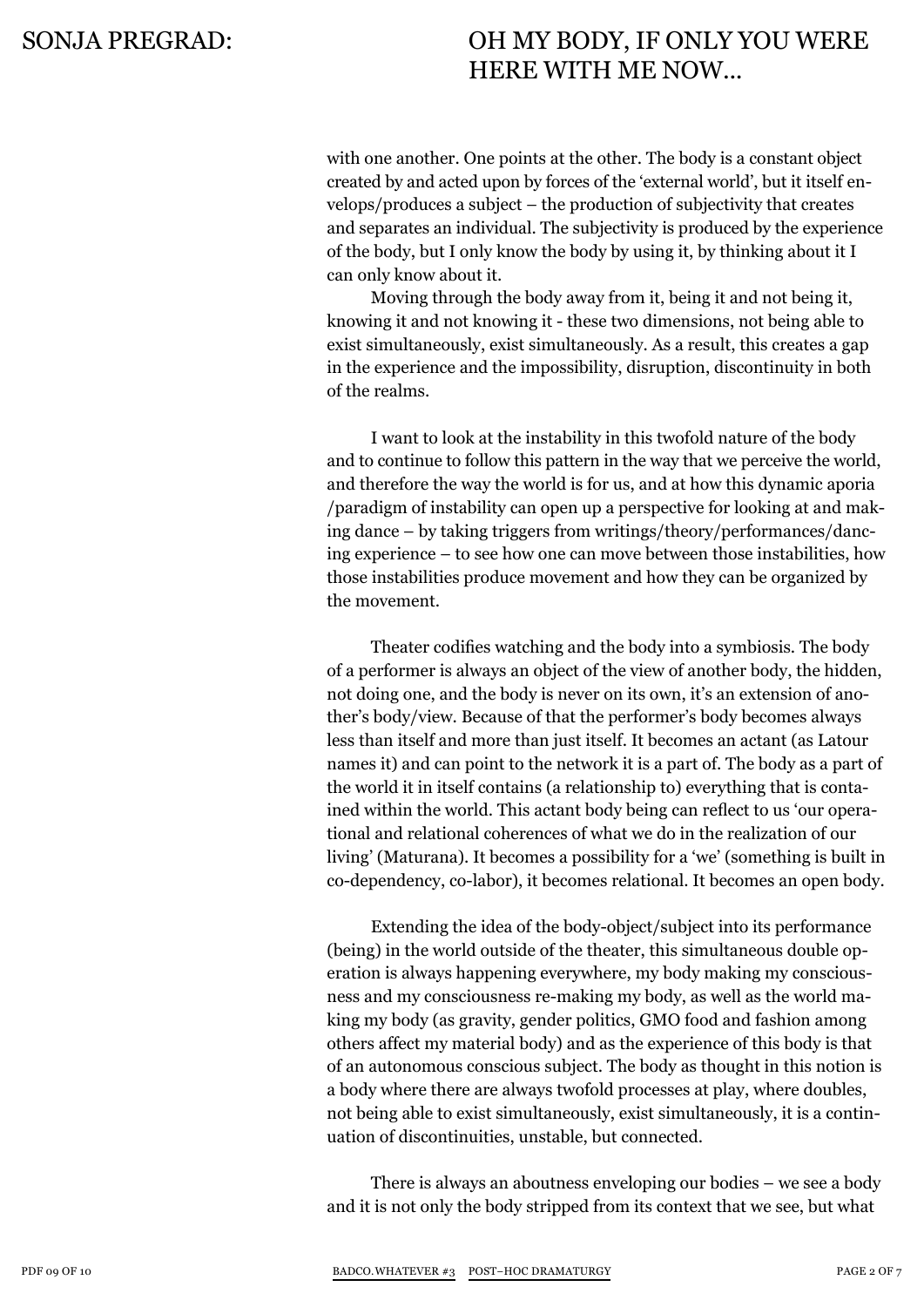with one another. One points at the other. The body is a constant object created by and acted upon by forces of the 'external world', but it itself envelops/produces a subject – the production of subjectivity that creates and separates an individual. The subjectivity is produced by the experience of the body, but I only know the body by using it, by thinking about it I can only know about it.

Moving through the body away from it, being it and not being it, knowing it and not knowing it - these two dimensions, not being able to exist simultaneously, exist simultaneously. As a result, this creates a gap in the experience and the impossibility, disruption, discontinuity in both of the realms.

I want to look at the instability in this twofold nature of the body and to continue to follow this pattern in the way that we perceive the world, and therefore the way the world is for us, and at how this dynamic aporia /paradigm of instability can open up a perspective for looking at and making dance – by taking triggers from writings/theory/performances/dancing experience – to see how one can move between those instabilities, how those instabilities produce movement and how they can be organized by the movement.

Theater codifies watching and the body into a symbiosis. The body of a performer is always an object of the view of another body, the hidden, not doing one, and the body is never on its own, it's an extension of another's body/view. Because of that the performer's body becomes always less than itself and more than just itself. It becomes an actant (as Latour names it) and can point to the network it is a part of. The body as a part of the world it in itself contains (a relationship to) everything that is contained within the world. This actant body being can reflect to us 'our operational and relational coherences of what we do in the realization of our living' (Maturana). It becomes a possibility for a 'we' (something is built in co-dependency, co-labor), it becomes relational. It becomes an open body.

Extending the idea of the body-object/subject into its performance (being) in the world outside of the theater, this simultaneous double operation is always happening everywhere, my body making my consciousness and my consciousness re-making my body, as well as the world making my body (as gravity, gender politics, GMO food and fashion among others affect my material body) and as the experience of this body is that of an autonomous conscious subject. The body as thought in this notion is a body where there are always twofold processes at play, where doubles, not being able to exist simultaneously, exist simultaneously, it is a continuation of discontinuities, unstable, but connected.

There is always an aboutness enveloping our bodies – we see a body and it is not only the body stripped from its context that we see, but what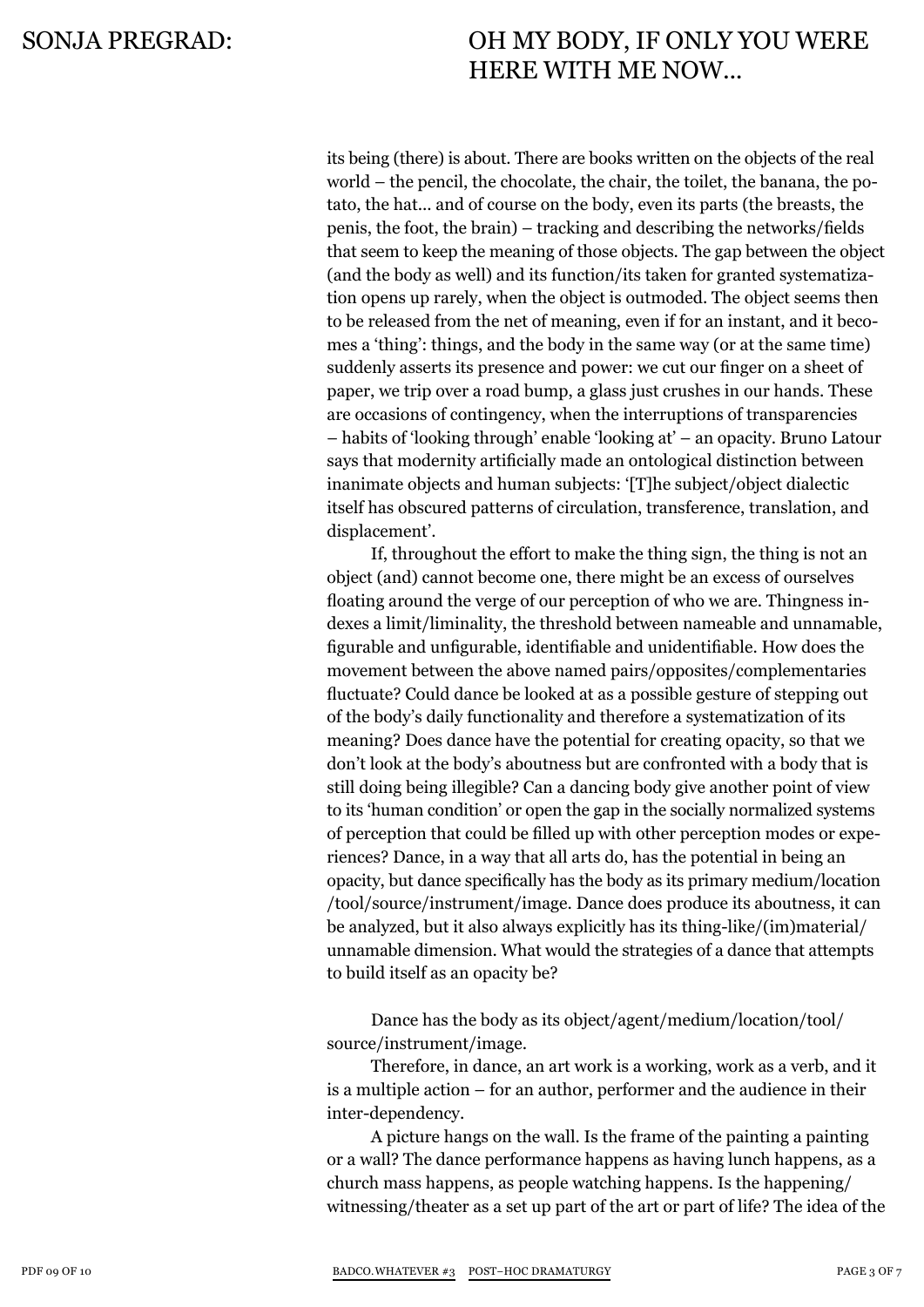its being (there) is about. There are books written on the objects of the real world – the pencil, the chocolate, the chair, the toilet, the banana, the potato, the hat... and of course on the body, even its parts (the breasts, the penis, the foot, the brain) – tracking and describing the networks/fields that seem to keep the meaning of those objects. The gap between the object (and the body as well) and its function/its taken for granted systematization opens up rarely, when the object is outmoded. The object seems then to be released from the net of meaning, even if for an instant, and it becomes a 'thing': things, and the body in the same way (or at the same time) suddenly asserts its presence and power: we cut our finger on a sheet of paper, we trip over a road bump, a glass just crushes in our hands. These are occasions of contingency, when the interruptions of transparencies – habits of 'looking through' enable 'looking at' – an opacity. Bruno Latour says that modernity artificially made an ontological distinction between inanimate objects and human subjects: '[T]he subject/object dialectic itself has obscured patterns of circulation, transference, translation, and displacement'.

If, throughout the effort to make the thing sign, the thing is not an object (and) cannot become one, there might be an excess of ourselves floating around the verge of our perception of who we are. Thingness indexes a limit/liminality, the threshold between nameable and unnamable, figurable and unfigurable, identifiable and unidentifiable. How does the movement between the above named pairs/opposites/complementaries fluctuate? Could dance be looked at as a possible gesture of stepping out of the body's daily functionality and therefore a systematization of its meaning? Does dance have the potential for creating opacity, so that we don't look at the body's aboutness but are confronted with a body that is still doing being illegible? Can a dancing body give another point of view to its 'human condition' or open the gap in the socially normalized systems of perception that could be filled up with other perception modes or experiences? Dance, in a way that all arts do, has the potential in being an opacity, but dance specifically has the body as its primary medium/location /tool/source/instrument/image. Dance does produce its aboutness, it can be analyzed, but it also always explicitly has its thing-like/(im)material/ unnamable dimension. What would the strategies of a dance that attempts to build itself as an opacity be?

Dance has the body as its object/agent/medium/location/tool/ source/instrument/image.

Therefore, in dance, an art work is a working, work as a verb, and it is a multiple action – for an author, performer and the audience in their inter-dependency.

A picture hangs on the wall. Is the frame of the painting a painting or a wall? The dance performance happens as having lunch happens, as a church mass happens, as people watching happens. Is the happening/ witnessing/theater as a set up part of the art or part of life? The idea of the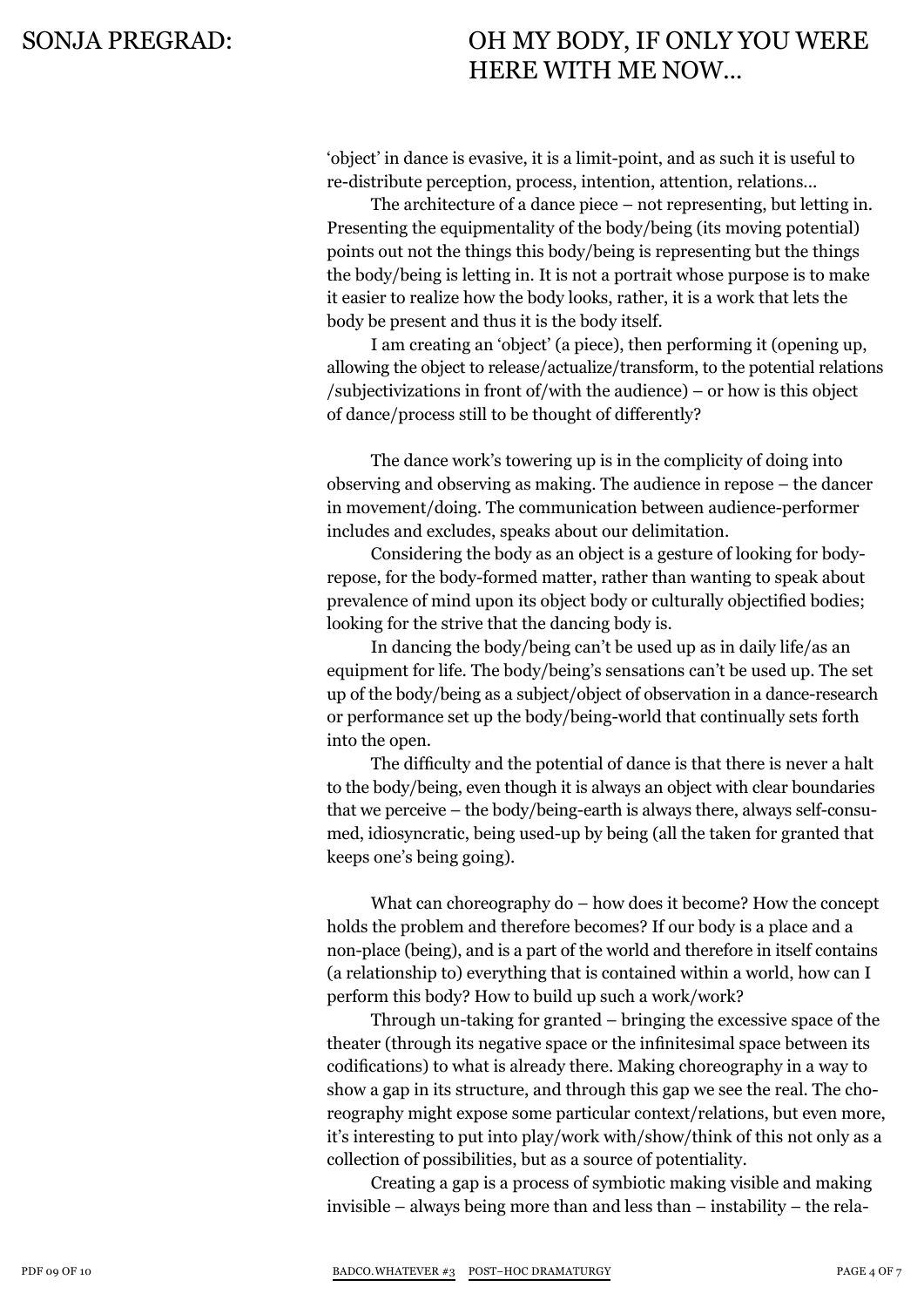'object' in dance is evasive, it is a limit-point, and as such it is useful to re-distribute perception, process, intention, attention, relations...

The architecture of a dance piece – not representing, but letting in. Presenting the equipmentality of the body/being (its moving potential) points out not the things this body/being is representing but the things the body/being is letting in. It is not a portrait whose purpose is to make it easier to realize how the body looks, rather, it is a work that lets the body be present and thus it is the body itself.

I am creating an 'object' (a piece), then performing it (opening up, allowing the object to release/actualize/transform, to the potential relations /subjectivizations in front of/with the audience) – or how is this object of dance/process still to be thought of differently?

The dance work's towering up is in the complicity of doing into observing and observing as making. The audience in repose – the dancer in movement/doing. The communication between audience-performer includes and excludes, speaks about our delimitation.

Considering the body as an object is a gesture of looking for bodyrepose, for the body-formed matter, rather than wanting to speak about prevalence of mind upon its object body or culturally objectified bodies; looking for the strive that the dancing body is.

In dancing the body/being can't be used up as in daily life/as an equipment for life. The body/being's sensations can't be used up. The set up of the body/being as a subject/object of observation in a dance-research or performance set up the body/being-world that continually sets forth into the open.

The difficulty and the potential of dance is that there is never a halt to the body/being, even though it is always an object with clear boundaries that we perceive – the body/being-earth is always there, always self-consumed, idiosyncratic, being used-up by being (all the taken for granted that keeps one's being going).

What can choreography do – how does it become? How the concept holds the problem and therefore becomes? If our body is a place and a non-place (being), and is a part of the world and therefore in itself contains (a relationship to) everything that is contained within a world, how can I perform this body? How to build up such a work/work?

Through un-taking for granted – bringing the excessive space of the theater (through its negative space or the infinitesimal space between its codifications) to what is already there. Making choreography in a way to show a gap in its structure, and through this gap we see the real. The choreography might expose some particular context/relations, but even more, it's interesting to put into play/work with/show/think of this not only as a collection of possibilities, but as a source of potentiality.

Creating a gap is a process of symbiotic making visible and making invisible – always being more than and less than – instability – the rela-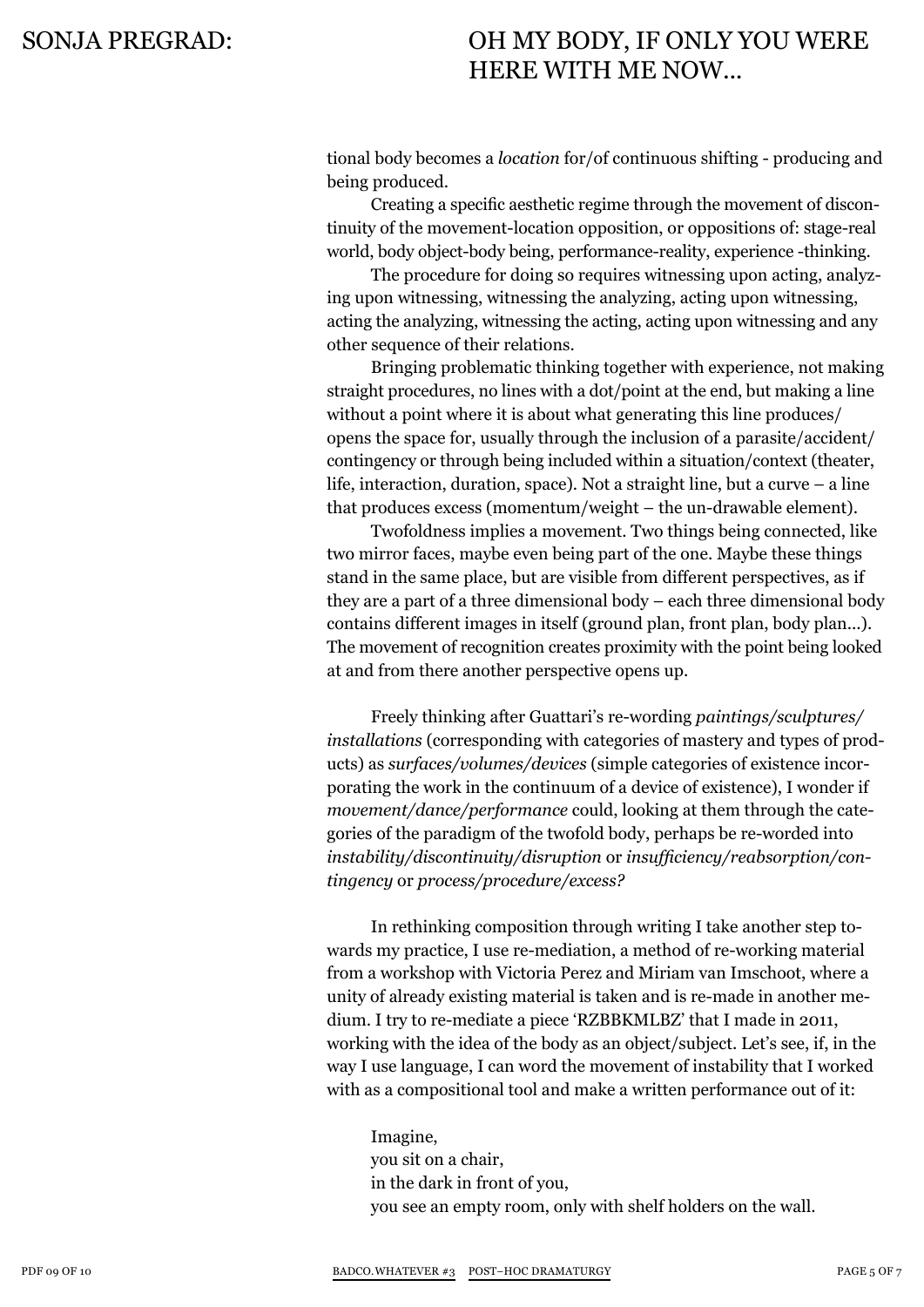tional body becomes a *location* for/of continuous shifting - producing and being produced.

Creating a specific aesthetic regime through the movement of discontinuity of the movement-location opposition, or oppositions of: stage-real world, body object-body being, performance-reality, experience -thinking.

The procedure for doing so requires witnessing upon acting, analyzing upon witnessing, witnessing the analyzing, acting upon witnessing, acting the analyzing, witnessing the acting, acting upon witnessing and any other sequence of their relations.

Bringing problematic thinking together with experience, not making straight procedures, no lines with a dot/point at the end, but making a line without a point where it is about what generating this line produces/ opens the space for, usually through the inclusion of a parasite/accident/ contingency or through being included within a situation/context (theater, life, interaction, duration, space). Not a straight line, but a curve – a line that produces excess (momentum/weight – the un-drawable element).

Twofoldness implies a movement. Two things being connected, like two mirror faces, maybe even being part of the one. Maybe these things stand in the same place, but are visible from different perspectives, as if they are a part of a three dimensional body – each three dimensional body contains different images in itself (ground plan, front plan, body plan...). The movement of recognition creates proximity with the point being looked at and from there another perspective opens up.

Freely thinking after Guattari's re-wording *paintings/sculptures/ installations* (corresponding with categories of mastery and types of products) as *surfaces/volumes/devices* (simple categories of existence incorporating the work in the continuum of a device of existence), I wonder if *movement/dance/performance* could, looking at them through the categories of the paradigm of the twofold body, perhaps be re-worded into *instability/discontinuity/disruption* or *insufficiency/reabsorption/contingency* or *process/procedure/excess?*

In rethinking composition through writing I take another step towards my practice, I use re-mediation, a method of re-working material from a workshop with Victoria Perez and Miriam van Imschoot, where a unity of already existing material is taken and is re-made in another medium. I try to re-mediate a piece 'RZBBKMLBZ' that I made in 2011, working with the idea of the body as an object/subject. Let's see, if, in the way I use language, I can word the movement of instability that I worked with as a compositional tool and make a written performance out of it:

Imagine, you sit on a chair, in the dark in front of you, you see an empty room, only with shelf holders on the wall.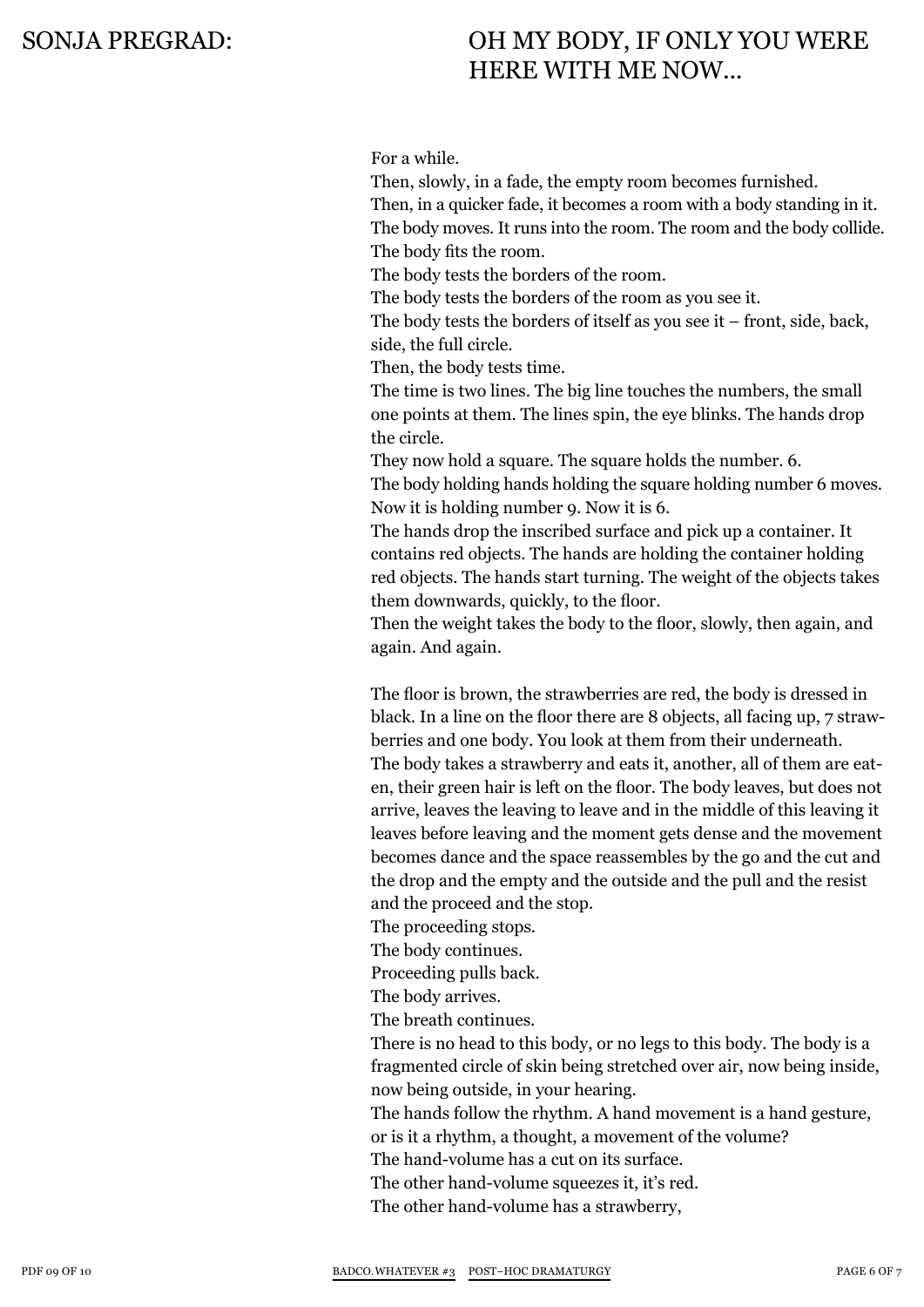For a while.

Then, slowly, in a fade, the empty room becomes furnished. Then, in a quicker fade, it becomes a room with a body standing in it. The body moves. It runs into the room. The room and the body collide. The body fits the room.

The body tests the borders of the room.

The body tests the borders of the room as you see it.

The body tests the borders of itself as you see it – front, side, back, side, the full circle.

Then, the body tests time.

The time is two lines. The big line touches the numbers, the small one points at them. The lines spin, the eye blinks. The hands drop the circle.

They now hold a square. The square holds the number. 6. The body holding hands holding the square holding number 6 moves. Now it is holding number 9. Now it is 6.

The hands drop the inscribed surface and pick up a container. It contains red objects. The hands are holding the container holding red objects. The hands start turning. The weight of the objects takes them downwards, quickly, to the floor.

Then the weight takes the body to the floor, slowly, then again, and again. And again.

The floor is brown, the strawberries are red, the body is dressed in black. In a line on the floor there are 8 objects, all facing up, 7 strawberries and one body. You look at them from their underneath. The body takes a strawberry and eats it, another, all of them are eaten, their green hair is left on the floor. The body leaves, but does not arrive, leaves the leaving to leave and in the middle of this leaving it leaves before leaving and the moment gets dense and the movement becomes dance and the space reassembles by the go and the cut and the drop and the empty and the outside and the pull and the resist and the proceed and the stop.

The proceeding stops.

The body continues.

Proceeding pulls back.

The body arrives.

The breath continues.

There is no head to this body, or no legs to this body. The body is a fragmented circle of skin being stretched over air, now being inside, now being outside, in your hearing.

The hands follow the rhythm. A hand movement is a hand gesture, or is it a rhythm, a thought, a movement of the volume?

The hand-volume has a cut on its surface.

The other hand-volume squeezes it, it's red.

The other hand-volume has a strawberry,